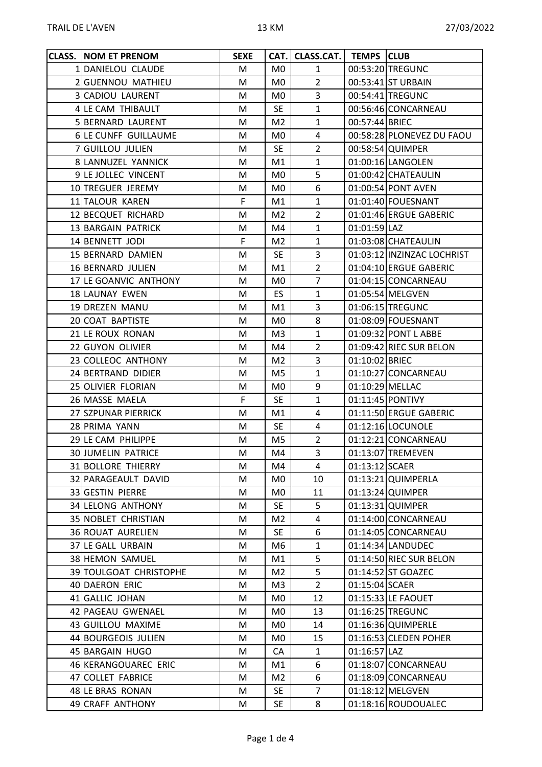| <b>CLASS. NOM ET PRENOM</b> | <b>SEXE</b> | CAT.           | CLASS.CAT. TEMPS CLUB |                 |                            |
|-----------------------------|-------------|----------------|-----------------------|-----------------|----------------------------|
| 1 DANIELOU CLAUDE           | M           | M <sub>0</sub> | $\mathbf{1}$          |                 | 00:53:20 TREGUNC           |
| 2 GUENNOU MATHIEU           | M           | M <sub>0</sub> | $\overline{2}$        |                 | 00:53:41 ST URBAIN         |
| 3 CADIOU LAURENT            | M           | M0             | 3                     |                 | 00:54:41 TREGUNC           |
| 4 LE CAM THIBAULT           | M           | <b>SE</b>      | $\mathbf{1}$          |                 | 00:56:46 CONCARNEAU        |
| 5 BERNARD LAURENT           | M           | M <sub>2</sub> | $\mathbf{1}$          | 00:57:44 BRIEC  |                            |
| 6 LE CUNFF GUILLAUME        | M           | M <sub>0</sub> | 4                     |                 | 00:58:28 PLONEVEZ DU FAOU  |
| 7 GUILLOU JULIEN            | M           | <b>SE</b>      | $\overline{2}$        |                 | 00:58:54 QUIMPER           |
| 8 LANNUZEL YANNICK          | M           | M1             | $\mathbf{1}$          |                 | 01:00:16 LANGOLEN          |
| 9 LE JOLLEC VINCENT         | M           | M0             | 5                     |                 | 01:00:42 CHATEAULIN        |
| 10 TREGUER JEREMY           | M           | M <sub>0</sub> | 6                     |                 | 01:00:54 PONT AVEN         |
| 11 TALOUR KAREN             | F           | M1             | $\mathbf{1}$          |                 | 01:01:40 FOUESNANT         |
| 12 BECQUET RICHARD          | M           | M <sub>2</sub> | $\overline{2}$        |                 | 01:01:46 ERGUE GABERIC     |
| 13 BARGAIN PATRICK          | M           | M4             | $\mathbf{1}$          | 01:01:59 LAZ    |                            |
| 14 BENNETT JODI             | F           | M <sub>2</sub> | $\mathbf{1}$          |                 | 01:03:08 CHATEAULIN        |
| 15 BERNARD DAMIEN           | M           | <b>SE</b>      | 3                     |                 | 01:03:12 INZINZAC LOCHRIST |
| 16 BERNARD JULIEN           | M           | M1             | $\overline{2}$        |                 | 01:04:10 ERGUE GABERIC     |
| 17 LE GOANVIC ANTHONY       | М           | M0             | $\overline{7}$        |                 | 01:04:15 CONCARNEAU        |
| 18 LAUNAY EWEN              | М           | ES.            | $\mathbf{1}$          |                 | 01:05:54 MELGVEN           |
| 19 DREZEN MANU              | M           | M1             | 3                     |                 | 01:06:15 TREGUNC           |
| 20 COAT BAPTISTE            | M           | M <sub>0</sub> | 8                     |                 | 01:08:09 FOUESNANT         |
| 21 LE ROUX RONAN            | M           | M <sub>3</sub> | $\mathbf{1}$          |                 | 01:09:32 PONT L ABBE       |
| 22 GUYON OLIVIER            | M           | M4             | $\overline{2}$        |                 | 01:09:42 RIEC SUR BELON    |
| 23 COLLEOC ANTHONY          | M           | M2             | 3                     | 01:10:02 BRIEC  |                            |
| 24 BERTRAND DIDIER          | M           | M <sub>5</sub> | $\mathbf{1}$          |                 | 01:10:27 CONCARNEAU        |
| 25 OLIVIER FLORIAN          | M           | M <sub>0</sub> | 9                     | 01:10:29 MELLAC |                            |
| 26 MASSE MAELA              | F.          | <b>SE</b>      | $\mathbf{1}$          |                 | 01:11:45 PONTIVY           |
| 27 SZPUNAR PIERRICK         | M           | M1             | 4                     |                 | 01:11:50 ERGUE GABERIC     |
| 28 PRIMA YANN               | M           | <b>SE</b>      | 4                     |                 | 01:12:16 LOCUNOLE          |
| 29 LE CAM PHILIPPE          | M           | M5             | $\overline{2}$        |                 | 01:12:21 CONCARNEAU        |
| 30 JUMELIN PATRICE          | M           | M4             | 3                     |                 | 01:13:07 TREMEVEN          |
| 31 BOLLORE THIERRY          | M           | M4             | $\overline{4}$        | 01:13:12 SCAER  |                            |
| 32 PARAGEAULT DAVID         | M           | M0             | 10                    |                 | 01:13:21 QUIMPERLA         |
| 33 GESTIN PIERRE            | M           | M <sub>0</sub> | 11                    |                 | 01:13:24 QUIMPER           |
| 34 LELONG ANTHONY           | M           | <b>SE</b>      | 5                     |                 | 01:13:31 QUIMPER           |
| 35 NOBLET CHRISTIAN         | M           | M2             | 4                     |                 | 01:14:00 CONCARNEAU        |
| 36 ROUAT AURELIEN           | M           | <b>SE</b>      | 6                     |                 | 01:14:05 CONCARNEAU        |
| 37 LE GALL URBAIN           | M           | M6             | $\mathbf{1}$          |                 | 01:14:34 LANDUDEC          |
| 38 HEMON SAMUEL             | M           | M1             | 5                     |                 | 01:14:50 RIEC SUR BELON    |
| 39 TOULGOAT CHRISTOPHE      | M           | M <sub>2</sub> | 5                     |                 | 01:14:52 ST GOAZEC         |
| 40 DAERON ERIC              | M           | M3             | $\overline{2}$        | 01:15:04 SCAER  |                            |
| 41 GALLIC JOHAN             | M           | M0             | 12                    |                 | 01:15:33 LE FAOUET         |
| 42 PAGEAU GWENAEL           | M           | M <sub>0</sub> | 13                    |                 | 01:16:25 TREGUNC           |
| 43 GUILLOU MAXIME           | M           | M0             | 14                    |                 | 01:16:36 QUIMPERLE         |
| 44 BOURGEOIS JULIEN         | M           | M <sub>0</sub> | 15                    |                 | 01:16:53 CLEDEN POHER      |
| 45 BARGAIN HUGO             | M           | CA             | $\mathbf{1}$          | 01:16:57 LAZ    |                            |
| 46 KERANGOUAREC ERIC        | M           | M1             | 6                     |                 | 01:18:07 CONCARNEAU        |
| 47 COLLET FABRICE           | M           | M <sub>2</sub> | 6                     |                 | 01:18:09 CONCARNEAU        |
| 48 LE BRAS RONAN            | M           | <b>SE</b>      | $\overline{7}$        |                 | 01:18:12 MELGVEN           |
| 49 CRAFF ANTHONY            | M           | SE             | 8                     |                 | 01:18:16 ROUDOUALEC        |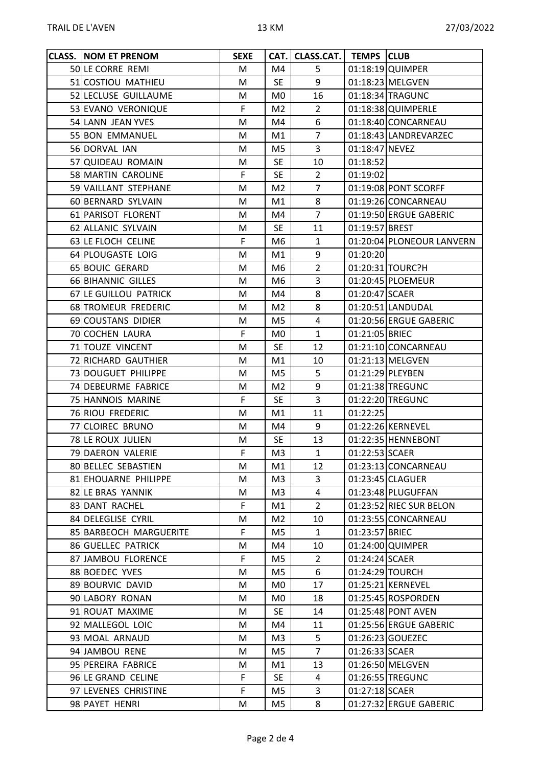| <b>CLASS. NOM ET PRENOM</b> | <b>SEXE</b> |                | CAT. CLASS.CAT.   TEMPS CLUB |                |                           |
|-----------------------------|-------------|----------------|------------------------------|----------------|---------------------------|
| 50 LE CORRE REMI            | M           | M4             | 5                            |                | 01:18:19 QUIMPER          |
| 51 COSTIOU MATHIEU          | M           | <b>SE</b>      | 9                            |                | 01:18:23 MELGVEN          |
| 52 LECLUSE GUILLAUME        | М           | M <sub>0</sub> | 16                           |                | 01:18:34 TRAGUNC          |
| 53 EVANO VERONIQUE          | F           | M <sub>2</sub> | $\overline{2}$               |                | 01:18:38 QUIMPERLE        |
| 54 LANN JEAN YVES           | M           | M4             | 6                            |                | 01:18:40 CONCARNEAU       |
| 55 BON EMMANUEL             | M           | M1             | $\overline{7}$               |                | 01:18:43 LANDREVARZEC     |
| 56 DORVAL IAN               | M           | M5             | 3                            | 01:18:47 NEVEZ |                           |
| 57 QUIDEAU ROMAIN           | M           | <b>SE</b>      | 10                           | 01:18:52       |                           |
| 58 MARTIN CAROLINE          | F           | <b>SE</b>      | $\overline{2}$               | 01:19:02       |                           |
| 59 VAILLANT STEPHANE        | M           | M <sub>2</sub> | $\overline{7}$               |                | 01:19:08 PONT SCORFF      |
| 60 BERNARD SYLVAIN          | M           | M1             | 8                            |                | 01:19:26 CONCARNEAU       |
| 61 PARISOT FLORENT          | M           | M4             | $\overline{7}$               |                | 01:19:50 ERGUE GABERIC    |
| 62 ALLANIC SYLVAIN          | M           | <b>SE</b>      | 11                           | 01:19:57 BREST |                           |
| 63 LE FLOCH CELINE          | F           | M6             | $\mathbf{1}$                 |                | 01:20:04 PLONEOUR LANVERN |
| 64 PLOUGASTE LOIG           | M           | M1             | 9                            | 01:20:20       |                           |
| 65 BOUIC GERARD             | M           | M6             | $\overline{2}$               |                | 01:20:31 TOURC?H          |
| 66 BIHANNIC GILLES          | M           | M <sub>6</sub> | $\overline{3}$               |                | 01:20:45 PLOEMEUR         |
| 67 LE GUILLOU PATRICK       | M           | M4             | 8                            | 01:20:47 SCAER |                           |
| 68 TROMEUR FREDERIC         | M           | M <sub>2</sub> | 8                            |                | 01:20:51 LANDUDAL         |
| 69 COUSTANS DIDIER          | M           | M5             | 4                            |                | 01:20:56 ERGUE GABERIC    |
| 70 COCHEN LAURA             | F           | M <sub>0</sub> | $\mathbf{1}$                 | 01:21:05 BRIEC |                           |
| 71 TOUZE VINCENT            | M           | <b>SE</b>      | 12                           |                | 01:21:10 CONCARNEAU       |
| 72 RICHARD GAUTHIER         | M           | M1             | 10                           |                | 01:21:13 MELGVEN          |
| 73 DOUGUET PHILIPPE         | M           | M <sub>5</sub> | 5                            |                | 01:21:29 PLEYBEN          |
| 74 DEBEURME FABRICE         | M           | M <sub>2</sub> | 9                            |                | 01:21:38 TREGUNC          |
| 75 HANNOIS MARINE           | F           | <b>SE</b>      | $\overline{3}$               |                | 01:22:20 TREGUNC          |
| 76 RIOU FREDERIC            | M           | M1             | 11                           | 01:22:25       |                           |
| 77 CLOIREC BRUNO            | M           | M4             | 9                            |                | 01:22:26 KERNEVEL         |
| 78 LE ROUX JULIEN           | M           | <b>SE</b>      | 13                           |                | 01:22:35 HENNEBONT        |
| 79 DAERON VALERIE           | F           | M <sub>3</sub> | $\mathbf{1}$                 | 01:22:53 SCAER |                           |
| 80 BELLEC SEBASTIEN         | M           | M1             | 12                           |                | 01:23:13 CONCARNEAU       |
| 81 EHOUARNE PHILIPPE        | M           | M3             | 3                            |                | 01:23:45 CLAGUER          |
| 82 LE BRAS YANNIK           | M           | M3             | 4                            |                | 01:23:48 PLUGUFFAN        |
| 83 DANT RACHEL              | F           | M1             | $\overline{2}$               |                | 01:23:52 RIEC SUR BELON   |
| 84 DELEGLISE CYRIL          | Μ           | M2             | 10                           |                | 01:23:55 CONCARNEAU       |
| 85 BARBEOCH MARGUERITE      | F.          | M <sub>5</sub> | $\mathbf{1}$                 | 01:23:57 BRIEC |                           |
| 86 GUELLEC PATRICK          | M           | M4             | 10                           |                | 01:24:00 QUIMPER          |
| 87 JAMBOU FLORENCE          | F.          | M5             | $2^{\circ}$                  | 01:24:24 SCAER |                           |
| 88 BOEDEC YVES              | M           | M5             | 6                            |                | 01:24:29 TOURCH           |
| 89 BOURVIC DAVID            | M           | M0             | 17                           |                | 01:25:21 KERNEVEL         |
| 90 LABORY RONAN             | M           | M0             | 18                           |                | 01:25:45 ROSPORDEN        |
| 91 ROUAT MAXIME             | М           | <b>SE</b>      | 14                           |                | 01:25:48 PONT AVEN        |
| 92 MALLEGOL LOIC            | M           | M4             | 11                           |                | 01:25:56 ERGUE GABERIC    |
| 93 MOAL ARNAUD              | M           | M3             | 5                            |                | 01:26:23 GOUEZEC          |
| 94 JAMBOU RENE              | M           | M5             | $\overline{7}$               | 01:26:33 SCAER |                           |
| 95 PEREIRA FABRICE          | M           | M1             | 13                           |                | 01:26:50 MELGVEN          |
| 96 LE GRAND CELINE          | F           | <b>SE</b>      | 4                            |                | 01:26:55 TREGUNC          |
| 97 LEVENES CHRISTINE        | F           | M5             | 3                            | 01:27:18 SCAER |                           |
| 98 PAYET HENRI              | M           | M5             | 8                            |                | 01:27:32 ERGUE GABERIC    |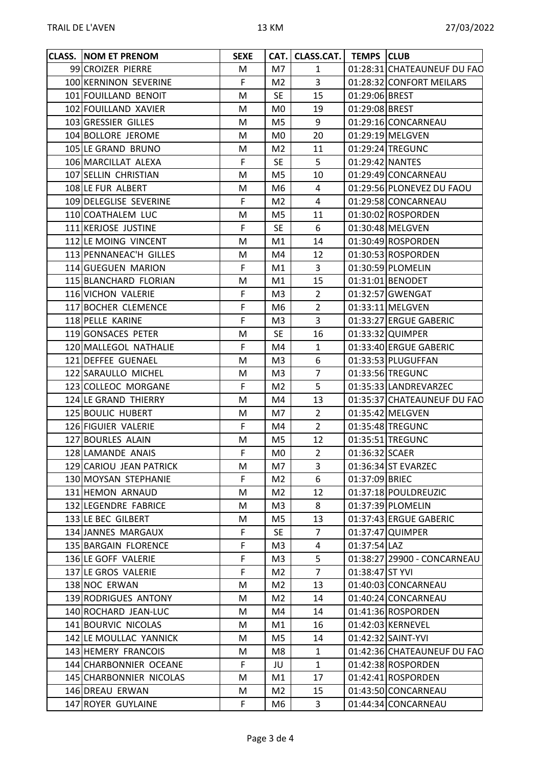| <b>CLASS. NOM ET PRENOM</b> | <b>SEXE</b> |                | CAT. CLASS.CAT.   TEMPS CLUB |                 |                             |
|-----------------------------|-------------|----------------|------------------------------|-----------------|-----------------------------|
| 99 CROIZER PIERRE           | M           | M7             | $\mathbf{1}$                 |                 | 01:28:31 CHATEAUNEUF DU FAO |
| 100 KERNINON SEVERINE       | F           | M2             | $\overline{3}$               |                 | 01:28:32 CONFORT MEILARS    |
| 101 FOUILLAND BENOIT        | M           | <b>SE</b>      | 15                           | 01:29:06 BREST  |                             |
| 102 FOUILLAND XAVIER        | M           | M0             | 19                           | 01:29:08 BREST  |                             |
| 103 GRESSIER GILLES         | M           | M5             | 9                            |                 | 01:29:16 CONCARNEAU         |
| 104 BOLLORE JEROME          | M           | M0.            | 20                           |                 | 01:29:19 MELGVEN            |
| 105 LE GRAND BRUNO          | M           | M <sub>2</sub> | 11                           |                 | 01:29:24 TREGUNC            |
| 106 MARCILLAT ALEXA         | F           | <b>SE</b>      | 5                            | 01:29:42 NANTES |                             |
| 107 SELLIN CHRISTIAN        | M           | M5             | 10                           |                 | 01:29:49 CONCARNEAU         |
| 108 LE FUR ALBERT           | M           | M6             | 4                            |                 | 01:29:56 PLONEVEZ DU FAOU   |
| 109 DELEGLISE SEVERINE      | F           | M2             | 4                            |                 | 01:29:58 CONCARNEAU         |
| 110 COATHALEM LUC           | M           | M <sub>5</sub> | 11                           |                 | 01:30:02 ROSPORDEN          |
| 111 KERJOSE JUSTINE         | F           | <b>SE</b>      | 6                            |                 | 01:30:48 MELGVEN            |
| 112 LE MOING VINCENT        | M           | M1             | 14                           |                 | 01:30:49 ROSPORDEN          |
| 113 PENNANEAC'H GILLES      | M           | M4             | 12                           |                 | 01:30:53 ROSPORDEN          |
| 114 GUEGUEN MARION          | F           | M1             | 3                            |                 | 01:30:59 PLOMELIN           |
| 115 BLANCHARD FLORIAN       | M           | M1             | 15                           |                 | 01:31:01 BENODET            |
| 116 VICHON VALERIE          | F           | M3             | $\overline{2}$               |                 | 01:32:57 GWENGAT            |
| 117 BOCHER CLEMENCE         | F           | M6.            | $\overline{2}$               |                 | 01:33:11 MELGVEN            |
| 118 PELLE KARINE            | F           | M3             | 3                            |                 | 01:33:27 ERGUE GABERIC      |
| 119 GONSACES PETER          | M           | <b>SE</b>      | 16                           |                 | 01:33:32 QUIMPER            |
| 120 MALLEGOL NATHALIE       | F           | M4             | $\mathbf{1}$                 |                 | 01:33:40 ERGUE GABERIC      |
| 121 DEFFEE GUENAEL          | M           | M3             | 6                            |                 | 01:33:53 PLUGUFFAN          |
| 122 SARAULLO MICHEL         | М           | M <sub>3</sub> | $\overline{7}$               |                 | 01:33:56 TREGUNC            |
| 123 COLLEOC MORGANE         | F           | M2             | 5                            |                 | 01:35:33 LANDREVARZEC       |
| 124 LE GRAND THIERRY        | M           | M4             | 13                           |                 | 01:35:37 CHATEAUNEUF DU FAO |
| 125 BOULIC HUBERT           | M           | M7             | $\overline{2}$               |                 | 01:35:42 MELGVEN            |
| 126 FIGUIER VALERIE         | F           | M4             | $\overline{2}$               |                 | 01:35:48 TREGUNC            |
| 127 BOURLES ALAIN           | M           | M <sub>5</sub> | 12                           |                 | 01:35:51 TREGUNC            |
| 128 LAMANDE ANAIS           | F           | M <sub>0</sub> | $\overline{2}$               | 01:36:32 SCAER  |                             |
| 129 CARIOU JEAN PATRICK     | М           | M7             | 3                            |                 | 01:36:34 ST EVARZEC         |
| 130 MOYSAN STEPHANIE        | F           | M2             | 6                            | 01:37:09 BRIEC  |                             |
| 131 HEMON ARNAUD            | M           | M <sub>2</sub> | 12                           |                 | 01:37:18 POULDREUZIC        |
| 132 LEGENDRE FABRICE        | M           | M3             | 8                            |                 | 01:37:39 PLOMELIN           |
| 133 LE BEC GILBERT          | M           | M5             | 13                           |                 | 01:37:43 ERGUE GABERIC      |
| 134 JANNES MARGAUX          | F           | <b>SE</b>      | $\overline{7}$               |                 | 01:37:47 QUIMPER            |
| 135 BARGAIN FLORENCE        | F           | M3             | 4                            | 01:37:54 LAZ    |                             |
| 136 LE GOFF VALERIE         | F           | M3             | 5                            |                 | 01:38:27 29900 - CONCARNEAU |
| 137 LE GROS VALERIE         | F           | M2             | $\overline{7}$               | 01:38:47 ST YVI |                             |
| 138 NOC ERWAN               | M           | M2             | 13                           |                 | 01:40:03 CONCARNEAU         |
| 139 RODRIGUES ANTONY        | М           | M <sub>2</sub> | 14                           |                 | 01:40:24 CONCARNEAU         |
| 140 ROCHARD JEAN-LUC        | M           | M4             | 14                           |                 | 01:41:36 ROSPORDEN          |
| 141 BOURVIC NICOLAS         | М           | M1             | 16                           |                 | 01:42:03 KERNEVEL           |
| 142 LE MOULLAC YANNICK      | М           | M5             | 14                           |                 | 01:42:32 SAINT-YVI          |
| 143 HEMERY FRANCOIS         | M           | M8             | $\mathbf{1}$                 |                 | 01:42:36 CHATEAUNEUF DU FAO |
| 144 CHARBONNIER OCEANE      | F           | JU             | $\mathbf{1}$                 |                 | 01:42:38 ROSPORDEN          |
| 145 CHARBONNIER NICOLAS     | M           | M1             | 17                           |                 | 01:42:41 ROSPORDEN          |
| 146 DREAU ERWAN             | М           | M <sub>2</sub> | 15                           |                 | 01:43:50 CONCARNEAU         |
| 147 ROYER GUYLAINE          | F           | M6             | 3                            |                 | 01:44:34 CONCARNEAU         |